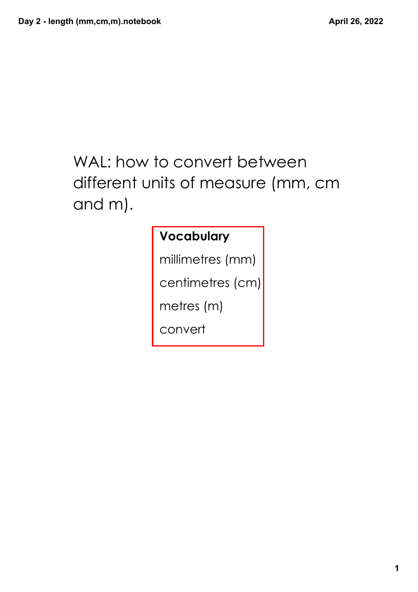## WAL: how to convert between different units of measure (mm, cm and m).

#### **Vocabulary**

millimetres (mm)

centimetres (cm)

metres (m)

convert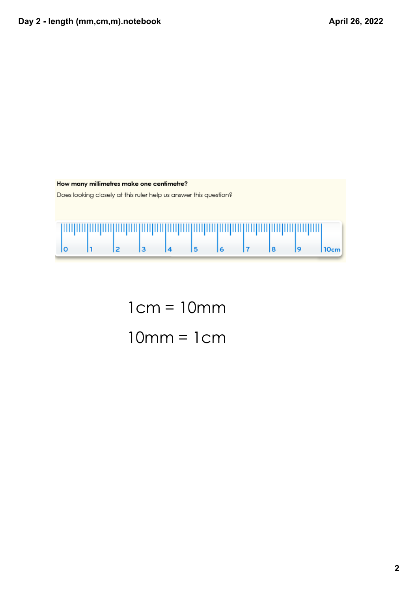

1cm = 10mm 10mm = 1cm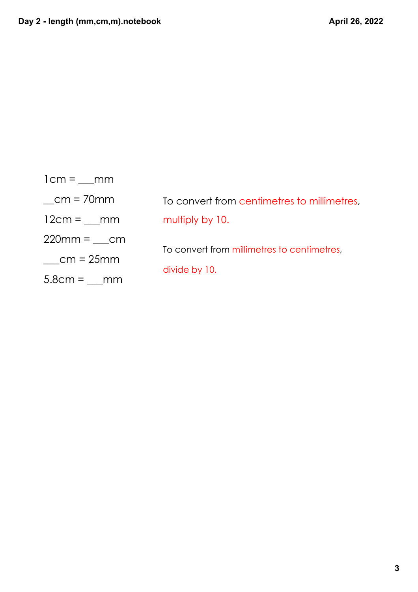| $lcm =$ mm      |                                             |
|-----------------|---------------------------------------------|
| $cm = 70$ mm    | To convert from centimetres to millimetres, |
| $12cm = \_ mm$  | multiply by 10.                             |
| $220mm = cm$    |                                             |
| $cm = 25mm$     | To convert from millimetres to centimetres, |
| $5.8cm =$<br>mm | divide by 10.                               |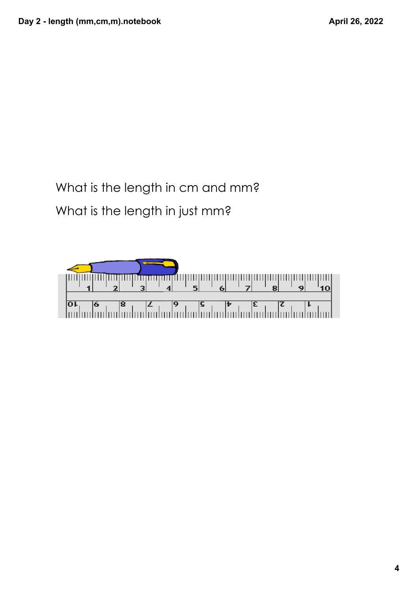### What is the length in cm and mm? What is the length in just mm?

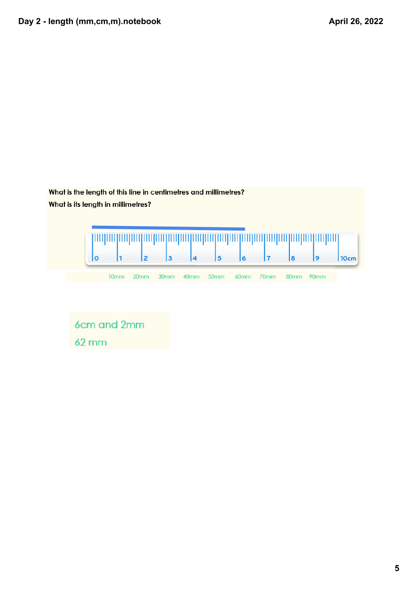

6cm and 2mm  $62 \, \text{mm}$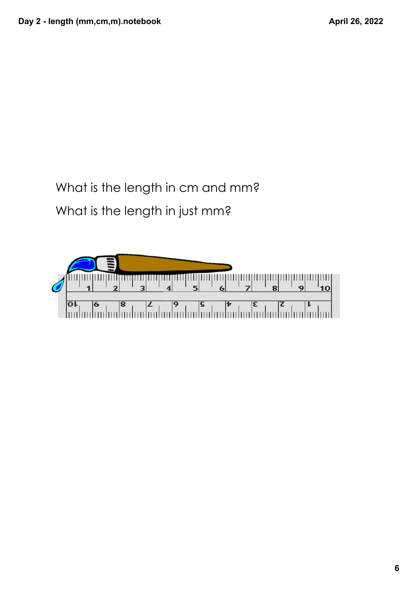#### What is the length in cm and mm? What is the length in just mm?

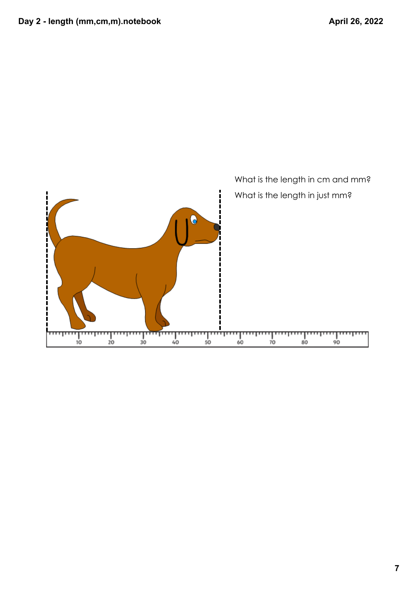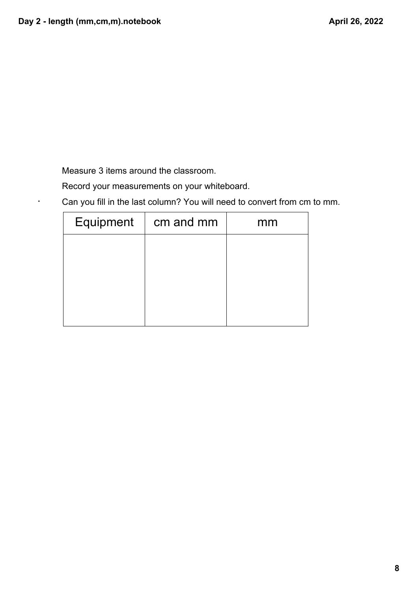.

Measure 3 items around the classroom.

Record your measurements on your whiteboard.

Can you fill in the last column? You will need to convert from cm to mm.

| Equipment | cm and mm | mm |  |  |  |  |  |
|-----------|-----------|----|--|--|--|--|--|
|           |           |    |  |  |  |  |  |
|           |           |    |  |  |  |  |  |
|           |           |    |  |  |  |  |  |
|           |           |    |  |  |  |  |  |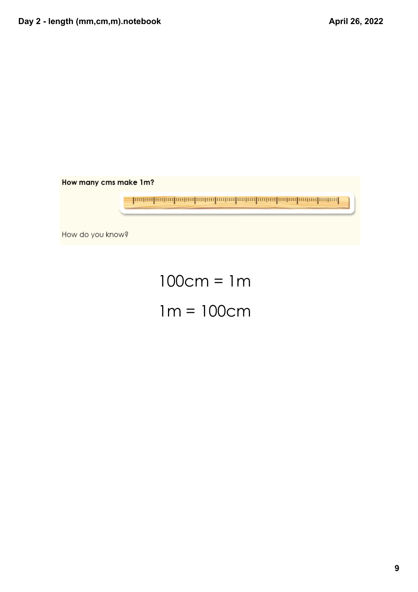# 100cm = 1m 1m = 100cm

How do you know?

<u>իտնականախոնախոնականախոնախոնականականական</u>

How many cms make 1m?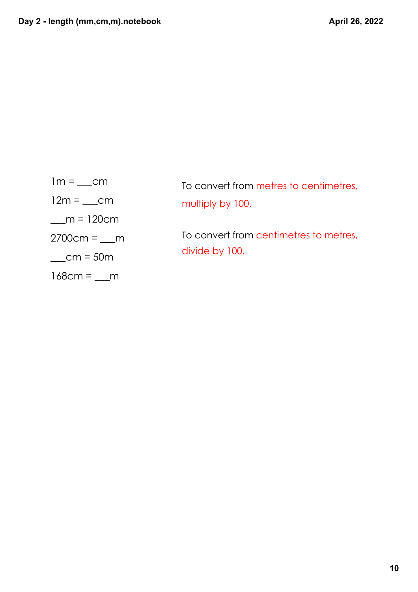| $1m = \underline{\hspace{2cm}}$ cm |
|------------------------------------|
| $12m = cm$                         |
| $m = 120cm$                        |
| $2700cm = m$                       |
| $cm = 50m$                         |
| $168cm =$                          |

| To convert from metres to centimetres, |
|----------------------------------------|
| multiply by 100.                       |
|                                        |

To convert from centimetres to metres, divide by 100.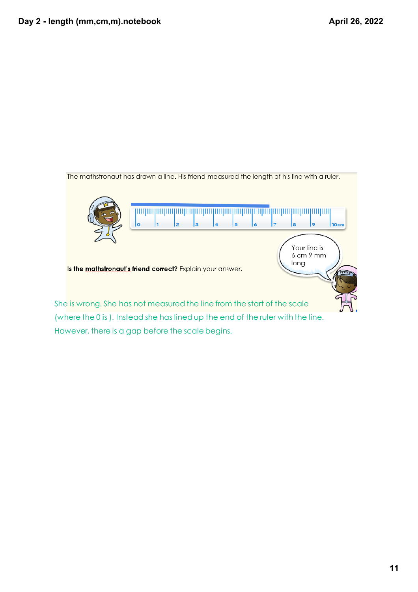

However, there is a gap before the scale begins.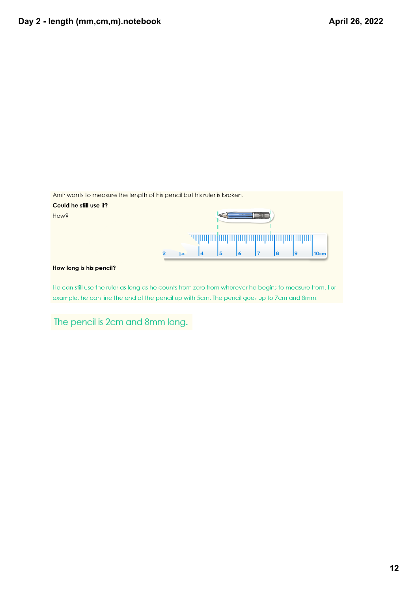| Amir wants to measure the length of his pencil but his ruler is broken.                                |                |                |   |    |  |    |    |                  |
|--------------------------------------------------------------------------------------------------------|----------------|----------------|---|----|--|----|----|------------------|
| Could he still use it?                                                                                 |                |                |   |    |  |    |    |                  |
| How?                                                                                                   |                |                |   |    |  |    |    |                  |
|                                                                                                        |                |                |   |    |  |    |    |                  |
|                                                                                                        | $\overline{1}$ | $\overline{4}$ | 5 | l6 |  | l8 | 19 | 10 <sub>cm</sub> |
| How long is his pencil?                                                                                |                |                |   |    |  |    |    |                  |
| He can still use the ruler as long as he counts from zero from wherever he begins to measure from. For |                |                |   |    |  |    |    |                  |

example, he can line the end of the pencil up with 5cm. The pencil goes up to 7cm and 8mm.

The pencil is 2cm and 8mm long.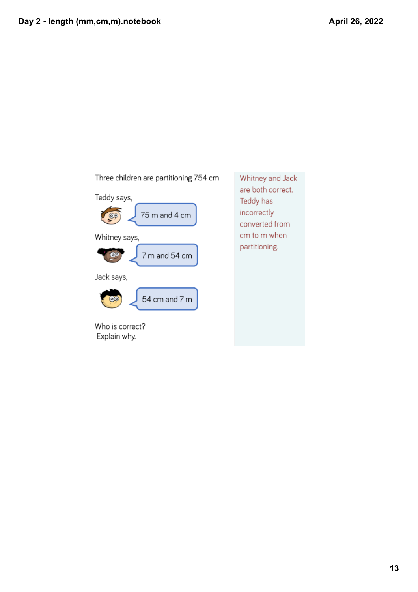

Whitney and Jack are both correct. Teddy has incorrectly converted from cm to m when partitioning.

Explain why.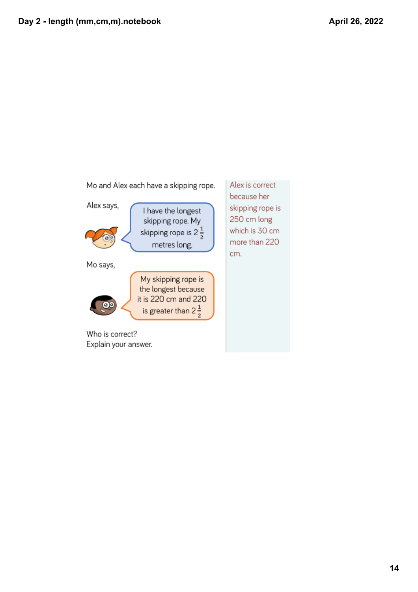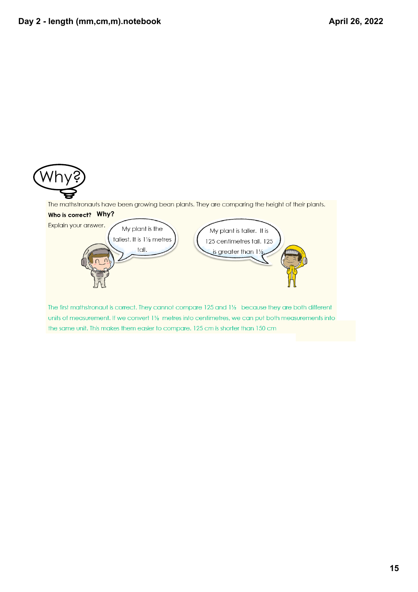

The mathstronauts have been growing bean plants. They are comparing the height of their plants.



The first mathstronaut is correct. They cannot compare 125 and 11/2 because they are both different units of measurement. If we convert 11/2 metres into centimetres, we can put both measurements into the same unit. This makes them easier to compare. 125 cm is shorter than 150 cm